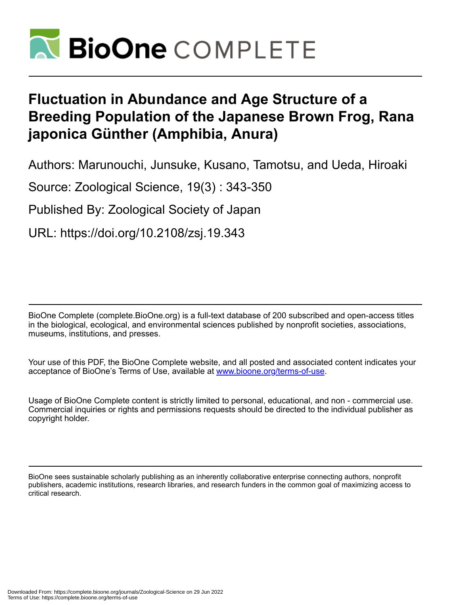

# **Fluctuation in Abundance and Age Structure of a Breeding Population of the Japanese Brown Frog, Rana japonica Günther (Amphibia, Anura)**

Authors: Marunouchi, Junsuke, Kusano, Tamotsu, and Ueda, Hiroaki

Source: Zoological Science, 19(3) : 343-350

Published By: Zoological Society of Japan

URL: https://doi.org/10.2108/zsj.19.343

BioOne Complete (complete.BioOne.org) is a full-text database of 200 subscribed and open-access titles in the biological, ecological, and environmental sciences published by nonprofit societies, associations, museums, institutions, and presses.

Your use of this PDF, the BioOne Complete website, and all posted and associated content indicates your acceptance of BioOne's Terms of Use, available at www.bioone.org/terms-of-use.

Usage of BioOne Complete content is strictly limited to personal, educational, and non - commercial use. Commercial inquiries or rights and permissions requests should be directed to the individual publisher as copyright holder.

BioOne sees sustainable scholarly publishing as an inherently collaborative enterprise connecting authors, nonprofit publishers, academic institutions, research libraries, and research funders in the common goal of maximizing access to critical research.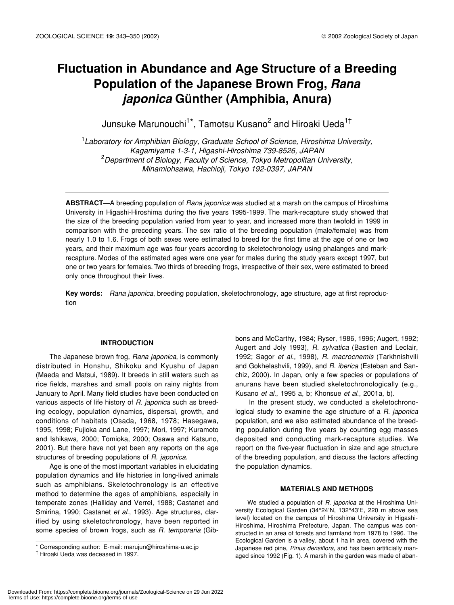# **Fluctuation in Abundance and Age Structure of a Breeding Population of the Japanese Brown Frog,** *Rana japonica* **Günther (Amphibia, Anura)**

Junsuke Marunouchi<sup>1\*</sup>, Tamotsu Kusano<sup>2</sup> and Hiroaki Ueda<sup>1†</sup>

1 *Laboratory for Amphibian Biology, Graduate School of Science, Hiroshima University, Kagamiyama 1-3-1, Higashi-Hiroshima 739-8526, JAPAN* 2 *Department of Biology, Faculty of Science, Tokyo Metropolitan University, Minamiohsawa, Hachioji, Tokyo 192-0397, JAPAN*

**ABSTRACT**—A breeding population of *Rana japonica* was studied at a marsh on the campus of Hiroshima University in Higashi-Hiroshima during the five years 1995-1999. The mark-recapture study showed that the size of the breeding population varied from year to year, and increased more than twofold in 1999 in comparison with the preceding years. The sex ratio of the breeding population (male/female) was from nearly 1.0 to 1.6. Frogs of both sexes were estimated to breed for the first time at the age of one or two years, and their maximum age was four years according to skeletochronology using phalanges and markrecapture. Modes of the estimated ages were one year for males during the study years except 1997, but one or two years for females. Two thirds of breeding frogs, irrespective of their sex, were estimated to breed only once throughout their lives.

**Key words:** *Rana japonica*, breeding population, skeletochronology, age structure, age at first reproduction

# **INTRODUCTION**

The Japanese brown frog, *Rana japonica*, is commonly distributed in Honshu, Shikoku and Kyushu of Japan (Maeda and Matsui, 1989). It breeds in still waters such as rice fields, marshes and small pools on rainy nights from January to April. Many field studies have been conducted on various aspects of life history of *R. japonica* such as breeding ecology, population dynamics, dispersal, growth, and conditions of habitats (Osada, 1968, 1978; Hasegawa, 1995, 1998; Fujioka and Lane, 1997; Mori, 1997; Kuramoto and Ishikawa, 2000; Tomioka, 2000; Osawa and Katsuno, 2001). But there have not yet been any reports on the age structures of breeding populations of *R. japonica*.

Age is one of the most important variables in elucidating population dynamics and life histories in long-lived animals such as amphibians. Skeletochronology is an effective method to determine the ages of amphibians, especially in temperate zones (Halliday and Verrel, 1988; Castanet and Smirina, 1990; Castanet *et al*., 1993). Age structures, clarified by using skeletochronology, have been reported in some species of brown frogs, such as *R. temporaria* (Gibbons and McCarthy, 1984; Ryser, 1986, 1996; Augert, 1992; Augert and Joly 1993), *R. sylvatica* (Bastien and Leclair, 1992; Sagor *et al*., 1998), *R. macrocnemis* (Tarkhnishvili and Gokhelashvili, 1999), and *R. iberica* (Esteban and Sanchiz, 2000). In Japan, only a few species or populations of anurans have been studied skeletochronologically (e.g., Kusano *et al*., 1995 a, b; Khonsue *et al*., 2001a, b).

In the present study, we conducted a skeletochronological study to examine the age structure of a *R. japonica* population, and we also estimated abundance of the breeding population during five years by counting egg masses deposited and conducting mark-recapture studies. We report on the five-year fluctuation in size and age structure of the breeding population, and discuss the factors affecting the population dynamics.

# **MATERIALS AND METHODS**

We studied a population of *R. japonica* at the Hiroshima University Ecological Garden (34°24'N, 132°43'E, 220 m above sea level) located on the campus of Hiroshima University in Higashi-Hiroshima, Hiroshima Prefecture, Japan. The campus was constructed in an area of forests and farmland from 1978 to 1996. The Ecological Garden is a valley, about 1 ha in area, covered with the Japanese red pine, *Pinus densiflora*, and has been artificially managed since 1992 (Fig. 1). A marsh in the garden was made of aban-

<sup>\*</sup> Corresponding author: E-mail: marujun@hiroshima-u.ac.jp

<sup>†</sup> Hiroaki Ueda was deceased in 1997.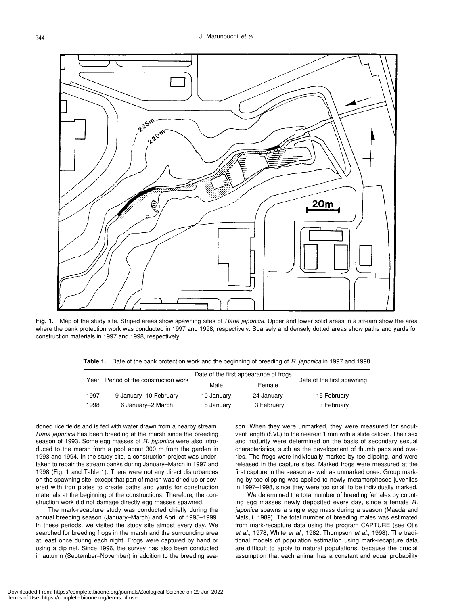

**Fig. 1.** Map of the study site. Striped areas show spawning sites of *Rana japonica*. Upper and lower solid areas in a stream show the area where the bank protection work was conducted in 1997 and 1998, respectively. Sparsely and densely dotted areas show paths and yards for construction materials in 1997 and 1998, respectively.

**Table 1.** Date of the bank protection work and the beginning of breeding of *R. japonica* in 1997 and 1998.

| Year | Period of the construction work | Date of the first appearance of frogs |            |                            |
|------|---------------------------------|---------------------------------------|------------|----------------------------|
|      |                                 | Male                                  | Female     | Date of the first spawning |
| 1997 | 9 January-10 February           | 10 January                            | 24 January | 15 February                |
| 1998 | 6 January–2 March               | 8 January                             | 3 February | 3 February                 |

doned rice fields and is fed with water drawn from a nearby stream. *Rana japonica* has been breeding at the marsh since the breeding season of 1993. Some egg masses of *R. japonica* were also introduced to the marsh from a pool about 300 m from the garden in 1993 and 1994. In the study site, a construction project was undertaken to repair the stream banks during January–March in 1997 and 1998 (Fig. 1 and Table 1). There were not any direct disturbances on the spawning site, except that part of marsh was dried up or covered with iron plates to create paths and yards for construction materials at the beginning of the constructions. Therefore, the construction work did not damage directly egg masses spawned.

The mark-recapture study was conducted chiefly during the annual breeding season (January–March) and April of 1995–1999. In these periods, we visited the study site almost every day. We searched for breeding frogs in the marsh and the surrounding area at least once during each night. Frogs were captured by hand or using a dip net. Since 1996, the survey has also been conducted in autumn (September–November) in addition to the breeding season. When they were unmarked, they were measured for snoutvent length (SVL) to the nearest 1 mm with a slide caliper. Their sex and maturity were determined on the basis of secondary sexual characteristics, such as the development of thumb pads and ovaries. The frogs were individually marked by toe-clipping, and were released in the capture sites. Marked frogs were measured at the first capture in the season as well as unmarked ones. Group marking by toe-clipping was applied to newly metamorphosed juveniles in 1997–1998, since they were too small to be individually marked.

We determined the total number of breeding females by counting egg masses newly deposited every day, since a female *R. japonica* spawns a single egg mass during a season (Maeda and Matsui, 1989). The total number of breeding males was estimated from mark-recapture data using the program CAPTURE (see Otis *et al*., 1978; White *et al*., 1982; Thompson *et al*., 1998). The traditional models of population estimation using mark-recapture data are difficult to apply to natural populations, because the crucial assumption that each animal has a constant and equal probability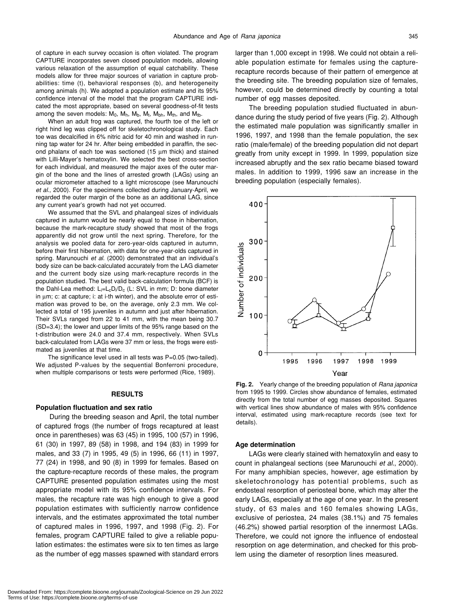of capture in each survey occasion is often violated. The program CAPTURE incorporates seven closed population models, allowing various relaxation of the assumption of equal catchability. These models allow for three major sources of variation in capture probabilities: time (t), behavioral responses (b), and heterogeneity among animals (h). We adopted a population estimate and its 95% confidence interval of the model that the program CAPTURE indicated the most appropriate, based on several goodness-of-fit tests among the seven models:  $M_0$ ,  $M_h$ ,  $M_b$ ,  $M_t$ ,  $M_{bh}$ ,  $M_{th}$ , and  $M_{tb}$ .

When an adult frog was captured, the fourth toe of the left or right hind leg was clipped off for skeletochronological study. Each toe was decalcified in 6% nitric acid for 40 min and washed in running tap water for 24 hr. After being embedded in paraffin, the second phalanx of each toe was sectioned (15 µm thick) and stained with Lilli-Mayer's hematoxylin. We selected the best cross-section for each individual, and measured the major axes of the outer margin of the bone and the lines of arrested growth (LAGs) using an ocular micrometer attached to a light microscope (see Marunouchi *et al*., 2000). For the specimens collected during January-April, we regarded the outer margin of the bone as an additional LAG, since any current year's growth had not yet occurred.

We assumed that the SVL and phalangeal sizes of individuals captured in autumn would be nearly equal to those in hibernation, because the mark-recapture study showed that most of the frogs apparently did not grow until the next spring. Therefore, for the analysis we pooled data for zero-year-olds captured in autumn, before their first hibernation, with data for one-year-olds captured in spring. Marunouchi *et al*. (2000) demonstrated that an individual's body size can be back-calculated accurately from the LAG diameter and the current body size using mark-recapture records in the population studied. The best valid back-calculation formula (BCF) is the Dahl-Lea method:  $L_i = L_c D_i/D_c$  (L: SVL in mm; D: bone diameter in µm; c: at capture; i: at i-th winter), and the absolute error of estimation was proved to be, on the average, only 2.3 mm. We collected a total of 195 juveniles in autumn and just after hibernation. Their SVLs ranged from 22 to 41 mm, with the mean being 30.7 (SD=3.4); the lower and upper limits of the 95% range based on the t-distribution were 24.0 and 37.4 mm, respectively. When SVLs back-calculated from LAGs were 37 mm or less, the frogs were estimated as juveniles at that time.

The significance level used in all tests was P=0.05 (two-tailed). We adjusted P-values by the sequential Bonferroni procedure, when multiple comparisons or tests were performed (Rice, 1989).

#### **RESULTS**

#### **Population fluctuation and sex ratio**

During the breeding season and April, the total number of captured frogs (the number of frogs recaptured at least once in parentheses) was 63 (45) in 1995, 100 (57) in 1996, 61 (30) in 1997, 89 (58) in 1998, and 194 (83) in 1999 for males, and 33 (7) in 1995, 49 (5) in 1996, 66 (11) in 1997, 77 (24) in 1998, and 90 (8) in 1999 for females. Based on the capture-recapture records of these males, the program CAPTURE presented population estimates using the most appropriate model with its 95% confidence intervals. For males, the recapture rate was high enough to give a good population estimates with sufficiently narrow confidence intervals, and the estimates approximated the total number of captured males in 1996, 1997, and 1998 (Fig. 2). For females, program CAPTURE failed to give a reliable population estimates: the estimates were six to ten times as large as the number of egg masses spawned with standard errors larger than 1,000 except in 1998. We could not obtain a reliable population estimate for females using the capturerecapture records because of their pattern of emergence at the breeding site. The breeding population size of females, however, could be determined directly by counting a total number of egg masses deposited.

The breeding population studied fluctuated in abundance during the study period of five years (Fig. 2). Although the estimated male population was significantly smaller in 1996, 1997, and 1998 than the female population, the sex ratio (male/female) of the breeding population did not depart greatly from unity except in 1999. In 1999, population size increased abruptly and the sex ratio became biased toward males. In addition to 1999, 1996 saw an increase in the breeding population (especially females).



**Fig. 2.** Yearly change of the breeding population of *Rana japonica* from 1995 to 1999. Circles show abundance of females, estimated directly from the total number of egg masses deposited. Squares with vertical lines show abundance of males with 95% confidence interval, estimated using mark-recapture records (see text for details).

#### **Age determination**

LAGs were clearly stained with hematoxylin and easy to count in phalangeal sections (see Marunouchi *et al*., 2000). For many amphibian species, however, age estimation by skeletochronology has potential problems, such as endosteal resorption of periosteal bone, which may alter the early LAGs, especially at the age of one year. In the present study, of 63 males and 160 females showing LAGs, exclusive of periostea, 24 males (38.1%) and 75 females (46.2%) showed partial resorption of the innermost LAGs. Therefore, we could not ignore the influence of endosteal resorption on age determination, and checked for this problem using the diameter of resorption lines measured.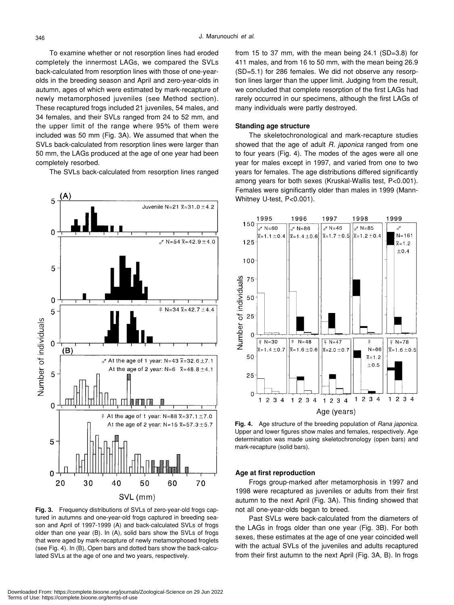To examine whether or not resorption lines had eroded completely the innermost LAGs, we compared the SVLs back-calculated from resorption lines with those of one-yearolds in the breeding season and April and zero-year-olds in autumn, ages of which were estimated by mark-recapture of newly metamorphosed juveniles (see Method section). These recaptured frogs included 21 juveniles, 54 males, and 34 females, and their SVLs ranged from 24 to 52 mm, and the upper limit of the range where 95% of them were included was 50 mm (Fig. 3A). We assumed that when the SVLs back-calculated from resorption lines were larger than 50 mm, the LAGs produced at the age of one year had been completely resorbed.

The SVLs back-calculated from resorption lines ranged



**Fig. 3.** Frequency distributions of SVLs of zero-year-old frogs captured in autumns and one-year-old frogs captured in breeding season and April of 1997-1999 (A) and back-calculated SVLs of frogs older than one year (B). In (A), solid bars show the SVLs of frogs that were aged by mark-recapture of newly metamorphosed froglets (see Fig. 4). In (B), Open bars and dotted bars show the back-calculated SVLs at the age of one and two years, respectively.

from 15 to 37 mm, with the mean being 24.1 (SD=3.8) for 411 males, and from 16 to 50 mm, with the mean being 26.9 (SD=5.1) for 286 females. We did not observe any resorption lines larger than the upper limit. Judging from the result, we concluded that complete resorption of the first LAGs had rarely occurred in our specimens, although the first LAGs of many individuals were partly destroyed.

#### **Standing age structure**

The skeletochronological and mark-recapture studies showed that the age of adult *R. japonica* ranged from one to four years (Fig. 4). The modes of the ages were all one year for males except in 1997, and varied from one to two years for females. The age distributions differed significantly among years for both sexes (Kruskal-Wallis test, P<0.001). Females were significantly older than males in 1999 (Mann-Whitney U-test, P<0.001).



**Fig. 4.** Age structure of the breeding population of *Rana japonica*. Upper and lower figures show males and females, respectively. Age determination was made using skeletochronology (open bars) and mark-recapture (solid bars).

#### **Age at first reproduction**

Frogs group-marked after metamorphosis in 1997 and 1998 were recaptured as juveniles or adults from their first autumn to the next April (Fig. 3A). This finding showed that not all one-year-olds began to breed.

Past SVLs were back-calculated from the diameters of the LAGs in frogs older than one year (Fig. 3B). For both sexes, these estimates at the age of one year coincided well with the actual SVLs of the juveniles and adults recaptured from their first autumn to the next April (Fig. 3A, B). In frogs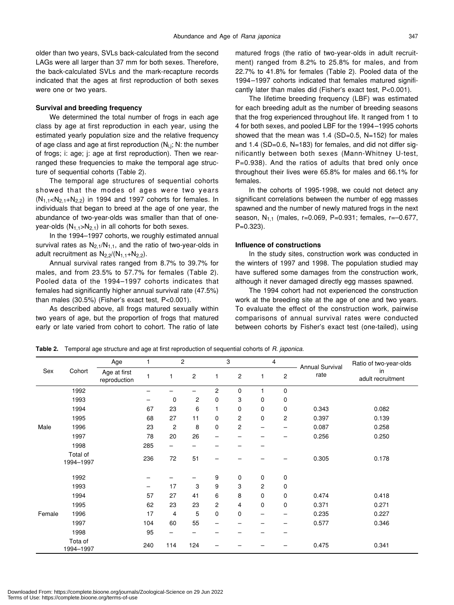older than two years, SVLs back-calculated from the second LAGs were all larger than 37 mm for both sexes. Therefore, the back-calculated SVLs and the mark-recapture records indicated that the ages at first reproduction of both sexes were one or two years.

# **Survival and breeding frequency**

We determined the total number of frogs in each age class by age at first reproduction in each year, using the estimated yearly population size and the relative frequency of age class and age at first reproduction  $(N_{i,i}; N:$  the number of frogs; i: age; j: age at first reproduction). Then we rearranged these frequencies to make the temporal age structure of sequential cohorts (Table 2).

The temporal age structures of sequential cohorts showed that the modes of ages were two years  $(N_{1,1}$  < N<sub>2,1</sub>+N<sub>2,2</sub>) in 1994 and 1997 cohorts for females. In individuals that began to breed at the age of one year, the abundance of two-year-olds was smaller than that of oneyear-olds  $(N_{1,1} > N_{2,1})$  in all cohorts for both sexes.

In the 1994–1997 cohorts, we roughly estimated annual survival rates as  $N_{2,1}/N_{1,1}$ , and the ratio of two-year-olds in adult recruitment as  $N_{2,2}/(N_{1,1}+N_{2,2})$ .

Annual survival rates ranged from 8.7% to 39.7% for males, and from 23.5% to 57.7% for females (Table 2). Pooled data of the 1994–1997 cohorts indicates that females had significantly higher annual survival rate (47.5%) than males (30.5%) (Fisher's exact test, P<0.001).

As described above, all frogs matured sexually within two years of age, but the proportion of frogs that matured early or late varied from cohort to cohort. The ratio of late matured frogs (the ratio of two-year-olds in adult recruitment) ranged from 8.2% to 25.8% for males, and from 22.7% to 41.8% for females (Table 2). Pooled data of the 1994–1997 cohorts indicated that females matured significantly later than males did (Fisher's exact test, P<0.001).

The lifetime breeding frequency (LBF) was estimated for each breeding adult as the number of breeding seasons that the frog experienced throughout life. It ranged from 1 to 4 for both sexes, and pooled LBF for the 1994–1995 cohorts showed that the mean was  $1.4$  (SD=0.5, N=152) for males and 1.4 (SD=0.6, N=183) for females, and did not differ significantly between both sexes (Mann-Whitney U-test, P=0.938). And the ratios of adults that bred only once throughout their lives were 65.8% for males and 66.1% for females.

In the cohorts of 1995-1998, we could not detect any significant correlations between the number of egg masses spawned and the number of newly matured frogs in the next season,  $N_{1,1}$  (males, r=0.069, P=0.931; females, r=-0.677,  $P=0.323$ ).

#### **Influence of constructions**

In the study sites, construction work was conducted in the winters of 1997 and 1998. The population studied may have suffered some damages from the construction work, although it never damaged directly egg masses spawned.

The 1994 cohort had not experienced the construction work at the breeding site at the age of one and two years. To evaluate the effect of the construction work, pairwise comparisons of annual survival rates were conducted between cohorts by Fisher's exact test (one-tailed), using

Sex Cohort Age 1 2 3 4 Annual Survival rate Ratio of two-year-olds in adult recruitment Age at first reproduction 1 1 2 1 2 1 2<br>reproduction 1992 –––2010 1993 – 0 2 0300 1994 67 23 6 1000 0.343 0.082 1995 68 27 11 0202 0.397 0.139 Male 1996 23 2 8 02–– 0.087 0.258 1997 78 20 26 –––– 0.256 0.250 1998 285 ––––– Total of 1994–1997 236 72 51 – – – – 0.305 0.178 1992 –––9000 1993 – 17 3 9320 1994 57 27 41 6800 0.474 0.418 1995 62 23 23 2400 0.371 0.271 Female 1996 17 4 5 00–– 0.235 0.227 1997 104 60 55 –––– 0.577 0.346 1998 95 –––––– Tota of 1994–1997 240 114 124 – – – – 0.475 0.341

**Table 2.** Temporal age structure and age at first reproduction of sequential cohorts of *R. japonica*.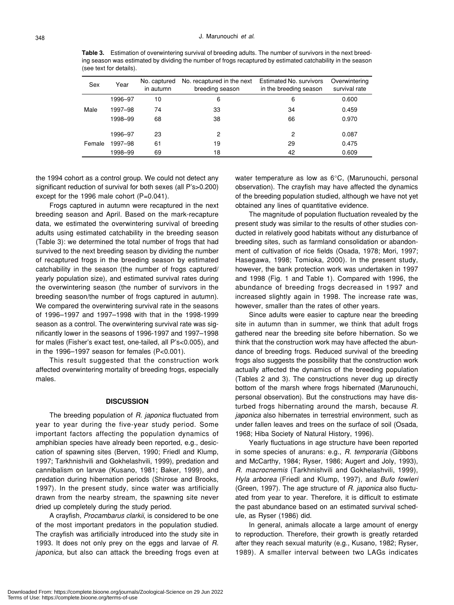**Table 3.** Estimation of overwintering survival of breeding adults. The number of survivors in the next breeding season was estimated by dividing the number of frogs recaptured by estimated catchability in the season (see text for details).

| Sex    | Year    | No. captured<br>in autumn | No. recaptured in the next<br>breeding season | <b>Estimated No. survivors</b><br>in the breeding season | Overwintering<br>survival rate |
|--------|---------|---------------------------|-----------------------------------------------|----------------------------------------------------------|--------------------------------|
| Male   | 1996–97 | 10                        | 6                                             | 6                                                        | 0.600                          |
|        | 1997-98 | 74                        | 33                                            | 34                                                       | 0.459                          |
|        | 1998-99 | 68                        | 38                                            | 66                                                       | 0.970                          |
|        | 1996-97 | 23                        | 2                                             | 2                                                        | 0.087                          |
| Female |         |                           |                                               |                                                          |                                |
|        | 1997-98 | 61                        | 19                                            | 29                                                       | 0.475                          |
|        | 1998–99 | 69                        | 18                                            | 42                                                       | 0.609                          |

the 1994 cohort as a control group. We could not detect any significant reduction of survival for both sexes (all P's>0.200) except for the 1996 male cohort (P=0.041).

Frogs captured in autumn were recaptured in the next breeding season and April. Based on the mark-recapture data, we estimated the overwintering survival of breeding adults using estimated catchability in the breeding season (Table 3): we determined the total number of frogs that had survived to the next breeding season by dividing the number of recaptured frogs in the breeding season by estimated catchability in the season (the number of frogs captured/ yearly population size), and estimated survival rates during the overwintering season (the number of survivors in the breeding season/the number of frogs captured in autumn). We compared the overwintering survival rate in the seasons of 1996–1997 and 1997–1998 with that in the 1998-1999 season as a control. The overwintering survival rate was significantly lower in the seasons of 1996-1997 and 1997–1998 for males (Fisher's exact test, one-tailed, all P's<0.005), and in the 1996–1997 season for females (P<0.001).

This result suggested that the construction work affected overwintering mortality of breeding frogs, especially males.

#### **DISCUSSION**

The breeding population of *R. japonica* fluctuated from year to year during the five-year study period. Some important factors affecting the population dynamics of amphibian species have already been reported, e.g., desiccation of spawning sites (Berven, 1990; Friedl and Klump, 1997; Tarkhnishvili and Gokhelashvili, 1999), predation and cannibalism on larvae (Kusano, 1981; Baker, 1999), and predation during hibernation periods (Shirose and Brooks, 1997). In the present study, since water was artificially drawn from the nearby stream, the spawning site never dried up completely during the study period.

A crayfish, *Procambarus clarkii*, is considered to be one of the most important predators in the population studied. The crayfish was artificially introduced into the study site in 1993. It does not only prey on the eggs and larvae of *R. japonica*, but also can attack the breeding frogs even at water temperature as low as 6°C, (Marunouchi, personal observation). The crayfish may have affected the dynamics of the breeding population studied, although we have not yet obtained any lines of quantitative evidence.

The magnitude of population fluctuation revealed by the present study was similar to the results of other studies conducted in relatively good habitats without any disturbance of breeding sites, such as farmland consolidation or abandonment of cultivation of rice fields (Osada, 1978; Mori, 1997; Hasegawa, 1998; Tomioka, 2000). In the present study, however, the bank protection work was undertaken in 1997 and 1998 (Fig. 1 and Table 1). Compared with 1996, the abundance of breeding frogs decreased in 1997 and increased slightly again in 1998. The increase rate was, however, smaller than the rates of other years.

Since adults were easier to capture near the breeding site in autumn than in summer, we think that adult frogs gathered near the breeding site before hibernation. So we think that the construction work may have affected the abundance of breeding frogs. Reduced survival of the breeding frogs also suggests the possibility that the construction work actually affected the dynamics of the breeding population (Tables 2 and 3). The constructions never dug up directly bottom of the marsh where frogs hibernated (Marunouchi, personal observation). But the constructions may have disturbed frogs hibernating around the marsh, because *R. japonica* also hibernates in terrestrial environment, such as under fallen leaves and trees on the surface of soil (Osada, 1968; Hiba Society of Natural History, 1996).

Yearly fluctuations in age structure have been reported in some species of anurans: e.g., *R. temporaria* (Gibbons and McCarthy, 1984; Ryser, 1986; Augert and Joly, 1993), *R. macrocnemis* (Tarkhnishvili and Gokhelashvili, 1999), *Hyla arborea* (Friedl and Klump, 1997), and *Bufo fowleri* (Green, 1997). The age structure of *R. japonica* also fluctuated from year to year. Therefore, it is difficult to estimate the past abundance based on an estimated survival schedule, as Ryser (1986) did.

In general, animals allocate a large amount of energy to reproduction. Therefore, their growth is greatly retarded after they reach sexual maturity (e.g., Kusano, 1982; Ryser, 1989). A smaller interval between two LAGs indicates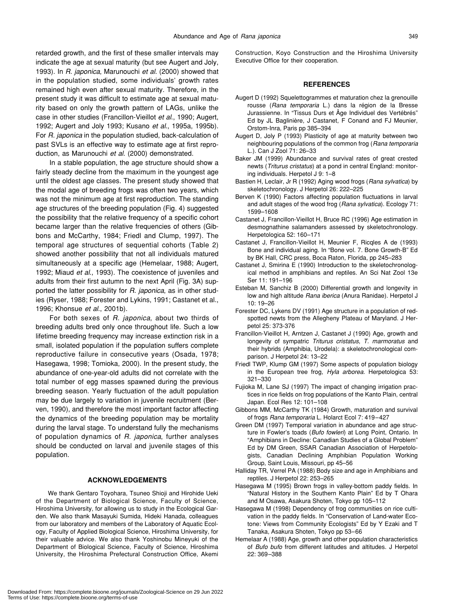retarded growth, and the first of these smaller intervals may indicate the age at sexual maturity (but see Augert and Joly, 1993). In *R. japonica*, Marunouchi *et al*. (2000) showed that in the population studied, some individuals' growth rates remained high even after sexual maturity. Therefore, in the present study it was difficult to estimate age at sexual maturity based on only the growth pattern of LAGs, unlike the case in other studies (Francillon-Vieillot *et al*., 1990; Augert, 1992; Augert and Joly 1993; Kusano *et al*., 1995a, 1995b). For *R. japonica* in the population studied, back-calculation of past SVLs is an effective way to estimate age at first reproduction, as Marunouchi *et al*. (2000) demonstrated.

In a stable population, the age structure should show a fairly steady decline from the maximum in the youngest age until the oldest age classes. The present study showed that the modal age of breeding frogs was often two years, which was not the minimum age at first reproduction. The standing age structures of the breeding population (Fig. 4) suggested the possibility that the relative frequency of a specific cohort became larger than the relative frequencies of others (Gibbons and McCarthy, 1984; Friedl and Clump, 1997). The temporal age structures of sequential cohorts (Table 2) showed another possibility that not all individuals matured simultaneously at a specific age (Hemelaar, 1988; Augert, 1992; Miaud *et al*., 1993). The coexistence of juveniles and adults from their first autumn to the next April (Fig. 3A) supported the latter possibility for *R. japonica*, as in other studies (Ryser, 1988; Forester and Lykins, 1991; Castanet et al., 1996; Khonsue *et al*., 2001b).

For both sexes of *R. japonica*, about two thirds of breeding adults bred only once throughout life. Such a low lifetime breeding frequency may increase extinction risk in a small, isolated population if the population suffers complete reproductive failure in consecutive years (Osada, 1978; Hasegawa, 1998; Tomioka, 2000). In the present study, the abundance of one-year-old adults did not correlate with the total number of egg masses spawned during the previous breeding season. Yearly fluctuation of the adult population may be due largely to variation in juvenile recruitment (Berven, 1990), and therefore the most important factor affecting the dynamics of the breeding population may be mortality during the larval stage. To understand fully the mechanisms of population dynamics of *R. japonica*, further analyses should be conducted on larval and juvenile stages of this population.

### **ACKNOWLEDGEMENTS**

We thank Gentaro Toyohara, Tsuneo Shioji and Hirohide Ueki of the Department of Biological Science, Faculty of Science, Hiroshima University, for allowing us to study in the Ecological Garden. We also thank Masayuki Sumida, Hideki Hanada, colleagues from our laboratory and members of the Laboratory of Aquatic Ecology, Faculty of Applied Biological Science, Hiroshima University, for their valuable advice. We also thank Yoshinobu Mineyuki of the Department of Biological Science, Faculty of Science, Hiroshima University, the Hiroshima Prefectural Construction Office, Akemi Construction, Koyo Construction and the Hiroshima University Executive Office for their cooperation.

#### **REFERENCES**

- Augert D (1992) Squelettogrammes et maturation chez la grenouille rousse (*Rana temporaria* L.) dans la région de la Bresse Jurassienne. In "Tissus Durs et Âge Individuel des Vertébrés" Ed by JL Baglinière, J Castanet, F Conand and FJ Meunier, Orstom-Inra, Paris pp 385–394
- Augert D, Joly P (1993) Plasticity of age at maturity between two neighbouring populations of the common frog (*Rana temporaria* L.). Can J Zool 71: 26–33
- Baker JM (1999) Abundance and survival rates of great crested newts (*Triturus cristatus*) at a pond in central England: monitoring individuals. Herpetol J 9: 1–8
- Bastien H, Leclair, Jr R (1992) Aging wood frogs (*Rana sylvatica*) by skeletochronology. J Herpetol 26: 222–225
- Berven K (1990) Factors affecting population fluctuations in larval and adult stages of the wood frog (*Rana sylvatica*). Ecology 71: 1599–1608
- Castanet J, Francillon-Vieillot H, Bruce RC (1996) Age estimation in desmognathine salamanders assessed by skeletochronology. Herpetologica 52: 160–171
- Castanet J, Francillon-Vieillot H, Meunier F, Ricqles A de (1993) Bone and individual aging. In "Bone vol. 7. Bone Growth-B" Ed by BK Hall, CRC press, Boca Raton, Florida, pp 245–283
- Castanet J, Smirina E (1990) Introduction to the skeletochronological method in amphibians and reptiles. An Sci Nat Zool 13e Ser 11: 191–196
- Esteban M, Sanchiz B (2000) Differential growth and longevity in low and high altitude *Rana iberica* (Anura Ranidae). Herpetol J 10: 19–26
- Forester DC, Lykens DV (1991) Age structure in a population of redspotted newts from the Allegheny Plateau of Maryland. J Herpetol 25: 373-376
- Francillon-Vieillot H, Arntzen J, Castanet J (1990) Age, growth and longevity of sympatric *Triturus cristatus*, *T. marmoratus* and their hybrids (Amphibia, Urodela): a skeletochronological comparison. J Herpetol 24: 13–22
- Friedl TWP, Klump GM (1997) Some aspects of population biology in the European tree frog, *Hyla arborea*. Herpetologica 53: 321–330
- Fujioka M, Lane SJ (1997) The impact of changing irrigation practices in rice fields on frog populations of the Kanto Plain, central Japan. Ecol Res 12: 101–108
- Gibbons MM, McCarthy TK (1984) Growth, maturation and survival of frogs *Rana temporaria* L. Holarct Ecol 7: 419–427
- Green DM (1997) Temporal variation in abundance and age structure in Fowler's toads (*Bufo fowleri*) at Long Point, Ontario. In "Amphibians in Decline: Canadian Studies of a Global Problem" Ed by DM Green, SSAR Canadian Association of Herpetologists, Canadian Declining Amphibian Population Working Group, Saint Louis, Missouri, pp 45–56
- Halliday TR, Verrel PA (1988) Body size and age in Amphibians and reptiles. J Herpetol 22: 253–265
- Hasegawa M (1995) Brown frogs in valley-bottom paddy fields. In "Natural History in the Southern Kanto Plain" Ed by T Ohara and M Osawa, Asakura Shoten, Tokyo pp 105–112
- Hasegawa M (1998) Dependency of frog communities on rice cultivation in the paddy fields. In "Conservation of Land-water Ecotone: Views from Community Ecologists" Ed by Y Ezaki and T Tanaka, Asakura Shoten, Tokyo pp 53–66
- Hemelaar A (1988) Age, growth and other population characteristics of *Bufo bufo* from different latitudes and altitudes. J Herpetol 22: 369–388